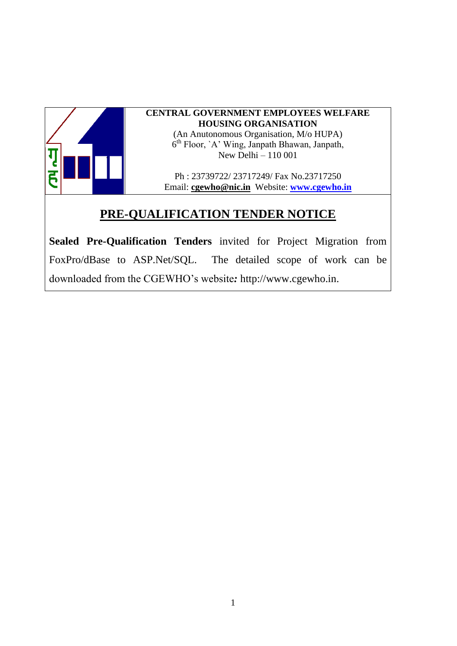

#### **CENTRAL GOVERNMENT EMPLOYEES WELFARE HOUSING ORGANISATION**

(An Anutonomous Organisation, M/o HUPA) 6<sup>th</sup> Floor, `A' Wing, Janpath Bhawan, Janpath, New Delhi – 110 001

Ph : 23739722/ 23717249/ Fax No.23717250 Email: **[cgewho@nic.in](mailto:cgewho@nic.in)** Website: **[www.cgewho.in](http://www.cgewho.in/)**

### **PRE-QUALIFICATION TENDER NOTICE**

**Sealed Pre-Qualification Tenders** invited for Project Migration from FoxPro/dBase to ASP.Net/SQL. The detailed scope of work can be downloaded from the CGEWHO's website*:* http://www.cgewho.in.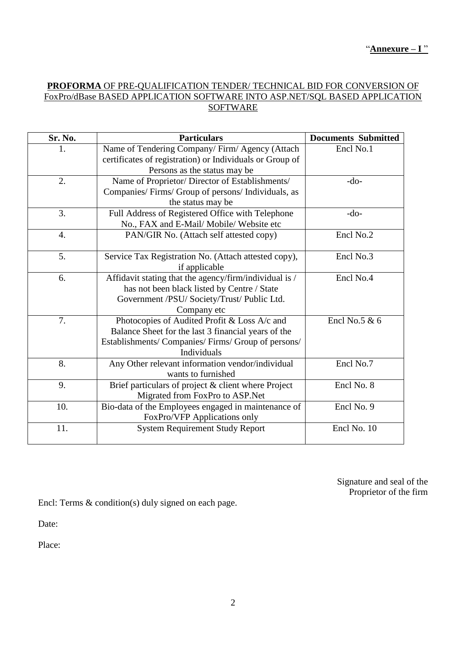#### **PROFORMA** OF PRE-QUALIFICATION TENDER/ TECHNICAL BID FOR CONVERSION OF FoxPro/dBase BASED APPLICATION SOFTWARE INTO ASP.NET/SQL BASED APPLICATION **SOFTWARE**

| Sr. No.          | <b>Particulars</b>                                       | <b>Documents Submitted</b> |
|------------------|----------------------------------------------------------|----------------------------|
| 1.               | Name of Tendering Company/Firm/Agency (Attach            | Encl No.1                  |
|                  | certificates of registration) or Individuals or Group of |                            |
|                  | Persons as the status may be                             |                            |
| 2.               | Name of Proprietor/ Director of Establishments/          | $-do-$                     |
|                  | Companies/Firms/Group of persons/Individuals, as         |                            |
|                  | the status may be                                        |                            |
| 3.               | Full Address of Registered Office with Telephone         | $-do-$                     |
|                  | No., FAX and E-Mail/ Mobile/ Website etc                 |                            |
| $\overline{4}$ . | PAN/GIR No. (Attach self attested copy)                  | Encl No.2                  |
|                  |                                                          |                            |
| 5.               | Service Tax Registration No. (Attach attested copy),     | Encl No.3                  |
|                  | if applicable                                            |                            |
| 6.               | Affidavit stating that the agency/firm/individual is /   | Encl No.4                  |
|                  | has not been black listed by Centre / State              |                            |
|                  | Government /PSU/ Society/Trust/ Public Ltd.              |                            |
|                  | Company etc                                              |                            |
| 7.               | Photocopies of Audited Profit & Loss A/c and             | Encl No.5 $& 6$            |
|                  | Balance Sheet for the last 3 financial years of the      |                            |
|                  | Establishments/ Companies/ Firms/ Group of persons/      |                            |
|                  | <b>Individuals</b>                                       |                            |
| 8.               | Any Other relevant information vendor/individual         | Encl No.7                  |
|                  | wants to furnished                                       |                            |
| 9.               | Brief particulars of project & client where Project      | Encl No. 8                 |
|                  | Migrated from FoxPro to ASP.Net                          |                            |
| 10.              | Bio-data of the Employees engaged in maintenance of      | Encl No. 9                 |
|                  | FoxPro/VFP Applications only                             |                            |
| 11.              | <b>System Requirement Study Report</b>                   | Encl No. 10                |
|                  |                                                          |                            |

Signature and seal of the Proprietor of the firm

Encl: Terms & condition(s) duly signed on each page.

Date:

Place: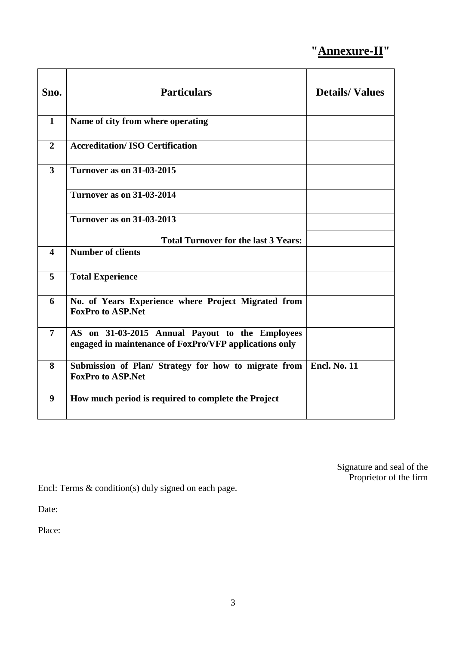## **"Annexure-II"**

| Sno.                    | <b>Particulars</b>                                                                                        | <b>Details/Values</b> |
|-------------------------|-----------------------------------------------------------------------------------------------------------|-----------------------|
| $\mathbf{1}$            | Name of city from where operating                                                                         |                       |
| $\overline{2}$          | <b>Accreditation/ISO Certification</b>                                                                    |                       |
| $\overline{3}$          | <b>Turnover as on 31-03-2015</b>                                                                          |                       |
|                         | <b>Turnover as on 31-03-2014</b>                                                                          |                       |
|                         | <b>Turnover as on 31-03-2013</b>                                                                          |                       |
|                         | <b>Total Turnover for the last 3 Years:</b>                                                               |                       |
| $\overline{\mathbf{4}}$ | Number of clients                                                                                         |                       |
| 5                       | <b>Total Experience</b>                                                                                   |                       |
| 6                       | No. of Years Experience where Project Migrated from<br><b>FoxPro to ASP.Net</b>                           |                       |
| $\overline{7}$          | AS on 31-03-2015 Annual Payout to the Employees<br>engaged in maintenance of FoxPro/VFP applications only |                       |
| 8                       | Submission of Plan/ Strategy for how to migrate from<br><b>FoxPro to ASP.Net</b>                          | <b>Encl. No. 11</b>   |
| $\boldsymbol{9}$        | How much period is required to complete the Project                                                       |                       |

Signature and seal of the Proprietor of the firm

Encl: Terms & condition(s) duly signed on each page.

Date:

Place: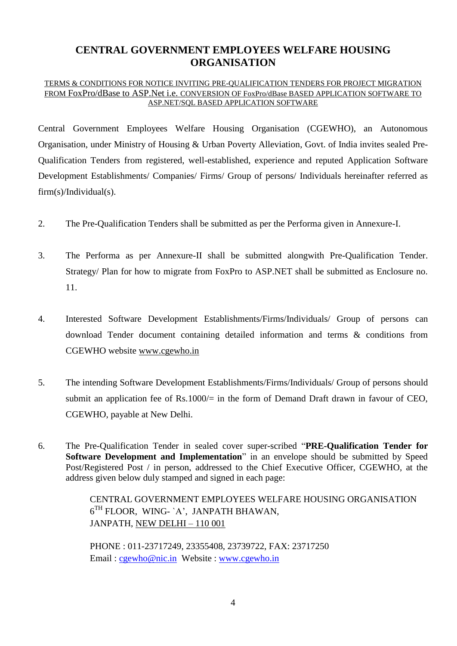#### **CENTRAL GOVERNMENT EMPLOYEES WELFARE HOUSING ORGANISATION**

#### TERMS & CONDITIONS FOR NOTICE INVITING PRE-QUALIFICATION TENDERS FOR PROJECT MIGRATION FROM FoxPro/dBase to ASP.Net i.e. CONVERSION OF FoxPro/dBase BASED APPLICATION SOFTWARE TO ASP.NET/SQL BASED APPLICATION SOFTWARE

Central Government Employees Welfare Housing Organisation (CGEWHO), an Autonomous Organisation, under Ministry of Housing & Urban Poverty Alleviation, Govt. of India invites sealed Pre-Qualification Tenders from registered, well-established, experience and reputed Application Software Development Establishments/ Companies/ Firms/ Group of persons/ Individuals hereinafter referred as firm(s)/Individual(s).

- 2. The Pre-Qualification Tenders shall be submitted as per the Performa given in Annexure-I.
- 3. The Performa as per Annexure-II shall be submitted alongwith Pre-Qualification Tender. Strategy/ Plan for how to migrate from FoxPro to ASP.NET shall be submitted as Enclosure no. 11.
- 4. Interested Software Development Establishments/Firms/Individuals/ Group of persons can download Tender document containing detailed information and terms & conditions from CGEWHO website [www.cgewho.in](http://www.cgewho.in/)
- 5. The intending Software Development Establishments/Firms/Individuals/ Group of persons should submit an application fee of  $Rs.1000/=$  in the form of Demand Draft drawn in favour of CEO, CGEWHO, payable at New Delhi.
- 6. The Pre-Qualification Tender in sealed cover super-scribed "**PRE-Qualification Tender for Software Development and Implementation**" in an envelope should be submitted by Speed Post/Registered Post / in person, addressed to the Chief Executive Officer, CGEWHO, at the address given below duly stamped and signed in each page:

CENTRAL GOVERNMENT EMPLOYEES WELFARE HOUSING ORGANISATION  $6<sup>TH</sup>$  FLOOR, WING- `A', JANPATH BHAWAN, JANPATH, NEW DELHI – 110 001

PHONE : 011-23717249, 23355408, 23739722, FAX: 23717250 Email : [cgewho@nic.in](mailto:cgewho@nic.in) Website : [www.cgewho.in](http://www.cgewho.in/)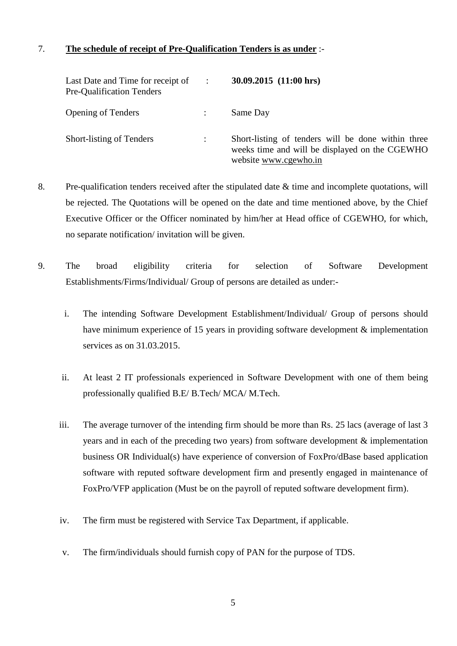#### 7. **The schedule of receipt of Pre-Qualification Tenders is as under** :-

| Last Date and Time for receipt of<br>Pre-Qualification Tenders | $\sim$ 100 $\sim$    | $30.09.2015$ $(11:00 \text{ hrs})$                                                                                            |
|----------------------------------------------------------------|----------------------|-------------------------------------------------------------------------------------------------------------------------------|
| <b>Opening of Tenders</b>                                      |                      | Same Day                                                                                                                      |
| Short-listing of Tenders                                       | $\ddot{\phantom{a}}$ | Short-listing of tenders will be done within three<br>weeks time and will be displayed on the CGEWHO<br>website www.cgewho.in |

- 8. Pre-qualification tenders received after the stipulated date & time and incomplete quotations, will be rejected. The Quotations will be opened on the date and time mentioned above, by the Chief Executive Officer or the Officer nominated by him/her at Head office of CGEWHO, for which, no separate notification/ invitation will be given.
- 9. The broad eligibility criteria for selection of Software Development Establishments/Firms/Individual/ Group of persons are detailed as under:
	- i. The intending Software Development Establishment/Individual/ Group of persons should have minimum experience of 15 years in providing software development & implementation services as on 31.03.2015.
	- ii. At least 2 IT professionals experienced in Software Development with one of them being professionally qualified B.E/ B.Tech/ MCA/ M.Tech.
	- iii. The average turnover of the intending firm should be more than Rs. 25 lacs (average of last 3 years and in each of the preceding two years) from software development & implementation business OR Individual(s) have experience of conversion of FoxPro/dBase based application software with reputed software development firm and presently engaged in maintenance of FoxPro/VFP application (Must be on the payroll of reputed software development firm).
	- iv. The firm must be registered with Service Tax Department, if applicable.
	- v. The firm/individuals should furnish copy of PAN for the purpose of TDS.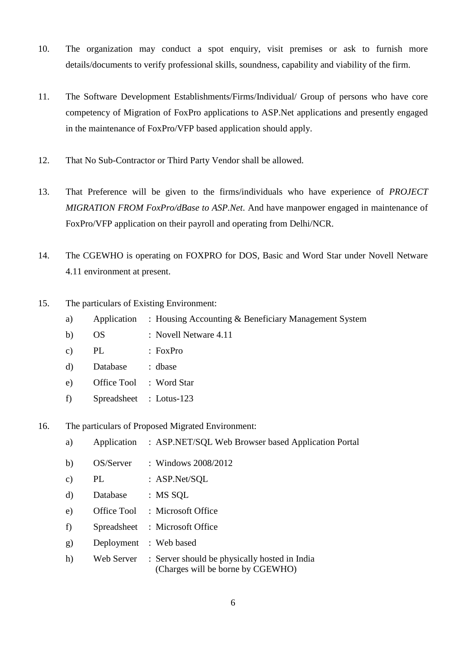- 10. The organization may conduct a spot enquiry, visit premises or ask to furnish more details/documents to verify professional skills, soundness, capability and viability of the firm.
- 11. The Software Development Establishments/Firms/Individual/ Group of persons who have core competency of Migration of FoxPro applications to ASP.Net applications and presently engaged in the maintenance of FoxPro/VFP based application should apply.
- 12. That No Sub-Contractor or Third Party Vendor shall be allowed.
- 13. That Preference will be given to the firms/individuals who have experience of *PROJECT MIGRATION FROM FoxPro/dBase to ASP.Net*. And have manpower engaged in maintenance of FoxPro/VFP application on their payroll and operating from Delhi/NCR.
- 14. The CGEWHO is operating on FOXPRO for DOS, Basic and Word Star under Novell Netware 4.11 environment at present.
- 15. The particulars of Existing Environment:
	- a) Application : Housing Accounting & Beneficiary Management System
	- b) OS : Novell Netware 4.11
	- c) PL : FoxPro
	- d) Database : dbase
	- e) Office Tool : Word Star
	- f) Spreadsheet : Lotus-123
- 16. The particulars of Proposed Migrated Environment:
	- a) Application : ASP.NET/SQL Web Browser based Application Portal
	- b) OS/Server : Windows 2008/2012
	- c) PL : ASP.Net/SQL
	- d) Database : MS SQL
	- e) Office Tool : Microsoft Office
	- f) Spreadsheet : Microsoft Office
	- g) Deployment : Web based
	- h) Web Server : Server should be physically hosted in India (Charges will be borne by CGEWHO)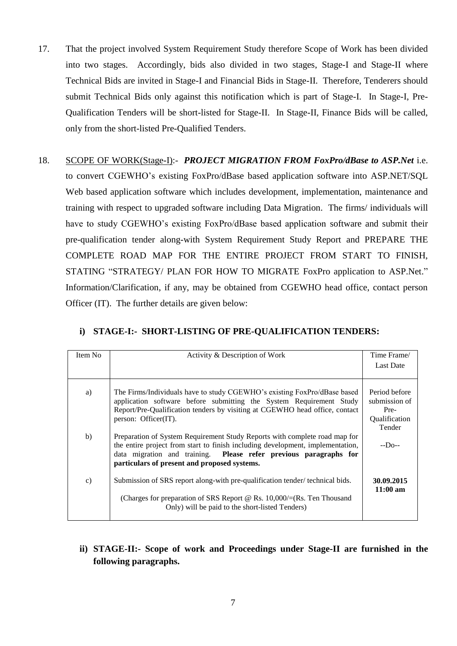- 17. That the project involved System Requirement Study therefore Scope of Work has been divided into two stages. Accordingly, bids also divided in two stages, Stage-I and Stage-II where Technical Bids are invited in Stage-I and Financial Bids in Stage-II. Therefore, Tenderers should submit Technical Bids only against this notification which is part of Stage-I. In Stage-I, Pre-Qualification Tenders will be short-listed for Stage-II. In Stage-II, Finance Bids will be called, only from the short-listed Pre-Qualified Tenders.
- 18. SCOPE OF WORK(Stage-I):- *PROJECT MIGRATION FROM FoxPro/dBase to ASP.Net* i.e. to convert CGEWHO's existing FoxPro/dBase based application software into ASP.NET/SQL Web based application software which includes development, implementation, maintenance and training with respect to upgraded software including Data Migration. The firms/ individuals will have to study CGEWHO's existing FoxPro/dBase based application software and submit their pre-qualification tender along-with System Requirement Study Report and PREPARE THE COMPLETE ROAD MAP FOR THE ENTIRE PROJECT FROM START TO FINISH, STATING "STRATEGY/ PLAN FOR HOW TO MIGRATE FoxPro application to ASP.Net." Information/Clarification, if any, may be obtained from CGEWHO head office, contact person Officer (IT). The further details are given below:

| Item No | Activity & Description of Work                                                                                                                                                                                                                                                    | Time Frame/                                                       |
|---------|-----------------------------------------------------------------------------------------------------------------------------------------------------------------------------------------------------------------------------------------------------------------------------------|-------------------------------------------------------------------|
|         |                                                                                                                                                                                                                                                                                   | <b>Last Date</b>                                                  |
|         |                                                                                                                                                                                                                                                                                   |                                                                   |
| a)      | The Firms/Individuals have to study CGEWHO's existing FoxPro/dBase based<br>application software before submitting the System Requirement Study<br>Report/Pre-Qualification tenders by visiting at CGEWHO head office, contact<br>person: Officer(IT).                            | Period before<br>submission of<br>Pre-<br>Qualification<br>Tender |
| b)      | Preparation of System Requirement Study Reports with complete road map for<br>the entire project from start to finish including development, implementation,<br>data migration and training. Please refer previous paragraphs for<br>particulars of present and proposed systems. | $-D0$ --                                                          |
| c)      | Submission of SRS report along-with pre-qualification tender/technical bids.<br>(Charges for preparation of SRS Report @ Rs. $10,000/=(Rs.$ Ten Thousand<br>Only) will be paid to the short-listed Tenders)                                                                       | 30.09.2015<br>$11:00$ am                                          |

#### **i) STAGE-I:- SHORT-LISTING OF PRE-QUALIFICATION TENDERS:**

#### **ii) STAGE-II:- Scope of work and Proceedings under Stage-II are furnished in the following paragraphs.**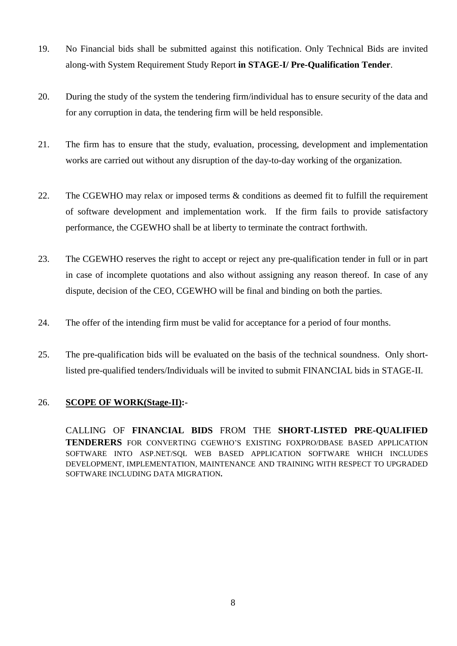- 19. No Financial bids shall be submitted against this notification. Only Technical Bids are invited along-with System Requirement Study Report **in STAGE-I/ Pre-Qualification Tender**.
- 20. During the study of the system the tendering firm/individual has to ensure security of the data and for any corruption in data, the tendering firm will be held responsible.
- 21. The firm has to ensure that the study, evaluation, processing, development and implementation works are carried out without any disruption of the day-to-day working of the organization.
- 22. The CGEWHO may relax or imposed terms & conditions as deemed fit to fulfill the requirement of software development and implementation work. If the firm fails to provide satisfactory performance, the CGEWHO shall be at liberty to terminate the contract forthwith.
- 23. The CGEWHO reserves the right to accept or reject any pre-qualification tender in full or in part in case of incomplete quotations and also without assigning any reason thereof. In case of any dispute, decision of the CEO, CGEWHO will be final and binding on both the parties.
- 24. The offer of the intending firm must be valid for acceptance for a period of four months.
- 25. The pre-qualification bids will be evaluated on the basis of the technical soundness. Only shortlisted pre-qualified tenders/Individuals will be invited to submit FINANCIAL bids in STAGE-II.

#### 26. **SCOPE OF WORK(Stage-II):-**

CALLING OF **FINANCIAL BIDS** FROM THE **SHORT-LISTED PRE-QUALIFIED TENDERERS** FOR CONVERTING CGEWHO'S EXISTING FOXPRO/DBASE BASED APPLICATION SOFTWARE INTO ASP.NET/SQL WEB BASED APPLICATION SOFTWARE WHICH INCLUDES DEVELOPMENT, IMPLEMENTATION, MAINTENANCE AND TRAINING WITH RESPECT TO UPGRADED SOFTWARE INCLUDING DATA MIGRATION**.**